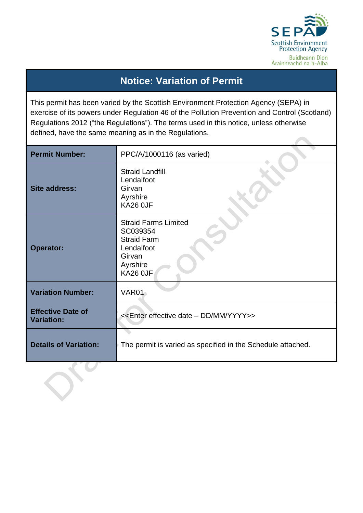

# **Notice: Variation of Permit**

This permit has been varied by the Scottish Environment Protection Agency (SEPA) in exercise of its powers under Regulation 46 of the Pollution Prevention and Control (Scotland) Regulations 2012 ("the Regulations"). The terms used in this notice, unless otherwise defined, have the same meaning as in the Regulations. 

| <b>Permit Number:</b>                         | PPC/A/1000116 (as varied)                                                                                            |  |  |  |
|-----------------------------------------------|----------------------------------------------------------------------------------------------------------------------|--|--|--|
| <b>Site address:</b>                          | <b>Straid Landfill</b><br>Lendalfoot<br>Girvan<br>Ayrshire<br>KA26 OJF                                               |  |  |  |
| <b>Operator:</b>                              | <b>Straid Farms Limited</b><br>SC039354<br><b>Straid Farm</b><br>Lendalfoot<br>Girvan<br>Ayrshire<br><b>KA26 0JF</b> |  |  |  |
| <b>Variation Number:</b>                      | VAR01                                                                                                                |  |  |  |
| <b>Effective Date of</b><br><b>Variation:</b> | < <enter -="" date="" dd="" effective="" mm="" yyyy="">&gt;</enter>                                                  |  |  |  |
| <b>Details of Variation:</b>                  | The permit is varied as specified in the Schedule attached.                                                          |  |  |  |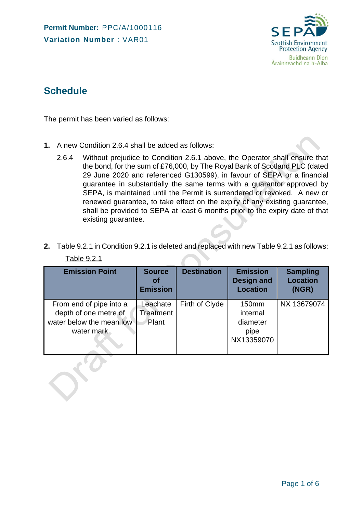

## **Schedule**

The permit has been varied as follows:

- **1.** A new Condition 2.6.4 shall be added as follows:
	- 2.6.4 Without prejudice to Condition 2.6.1 above, the Operator shall ensure that the bond, for the sum of £76,000, by The Royal Bank of Scotland PLC (dated 29 June 2020 and referenced G130599), in favour of SEPA or a financial guarantee in substantially the same terms with a guarantor approved by SEPA, is maintained until the Permit is surrendered or revoked. A new or renewed guarantee, to take effect on the expiry of any existing guarantee, shall be provided to SEPA at least 6 months prior to the expiry date of that existing guarantee.
- **2.** Table 9.2.1 in Condition 9.2.1 is deleted and replaced with new Table 9.2.1 as follows: Table 9.2.1

| <b>Emission Point</b>                                                                      | <b>Source</b><br><b>of</b><br><b>Emission</b> | <b>Destination</b> | <b>Emission</b><br><b>Design and</b><br><b>Location</b> | <b>Sampling</b><br><b>Location</b><br>(NGR) |
|--------------------------------------------------------------------------------------------|-----------------------------------------------|--------------------|---------------------------------------------------------|---------------------------------------------|
| From end of pipe into a<br>depth of one metre of<br>water below the mean low<br>water mark | Leachate<br><b>Treatment</b><br>Plant         | Firth of Clyde     | 150mm<br>internal<br>diameter<br>pipe<br>NX13359070     | NX 13679074                                 |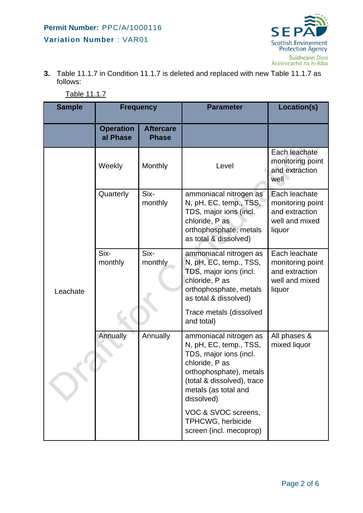

**3.** Table 11.1.7 in Condition 11.1.7 is deleted and replaced with new Table 11.1.7 as follows:

| <b>Sample</b> | <b>Frequency</b>             |                                  | <b>Parameter</b>                                                                                                                                                                            | Location(s)                                                                     |  |
|---------------|------------------------------|----------------------------------|---------------------------------------------------------------------------------------------------------------------------------------------------------------------------------------------|---------------------------------------------------------------------------------|--|
|               | <b>Operation</b><br>al Phase | <b>Aftercare</b><br><b>Phase</b> |                                                                                                                                                                                             |                                                                                 |  |
|               | Weekly                       | Monthly                          | Level                                                                                                                                                                                       | Each leachate<br>monitoring point<br>and extraction<br>well                     |  |
|               | Quarterly                    | Six-<br>monthly                  | ammoniacal nitrogen as<br>N, pH, EC, temp., TSS,<br>TDS, major ions (incl.<br>chloride, P as<br>orthophosphate, metals<br>as total & dissolved)                                             | Each leachate<br>monitoring point<br>and extraction<br>well and mixed<br>liquor |  |
| Leachate      | Six-<br>monthly              | Six-<br>monthly                  | ammoniacal nitrogen as<br>N, pH, EC, temp., TSS,<br>TDS, major ions (incl.<br>chloride, P as<br>orthophosphate, metals<br>as total & dissolved)                                             | Each leachate<br>monitoring point<br>and extraction<br>well and mixed<br>liquor |  |
|               |                              |                                  | Trace metals (dissolved<br>and total)                                                                                                                                                       |                                                                                 |  |
|               | Annually                     | Annually                         | ammoniacal nitrogen as<br>N, pH, EC, temp., TSS,<br>TDS, major ions (incl.<br>chloride, P as<br>orthophosphate), metals<br>(total & dissolved), trace<br>metals (as total and<br>dissolved) | All phases &<br>mixed liquor                                                    |  |
|               |                              |                                  | VOC & SVOC screens,<br><b>TPHCWG, herbicide</b>                                                                                                                                             |                                                                                 |  |

screen (incl. mecoprop)

Table 11.1.7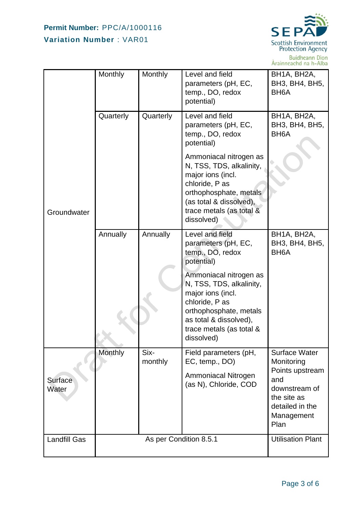

Buidheann Dìon<br>Àrainneachd na h-Alba

|                     | Monthly                | Monthly         | Level and field<br>parameters (pH, EC,<br>temp., DO, redox<br>potential)                                                                                                                 | BH1A, BH2A,<br>BH3, BH4, BH5,<br>BH <sub>6</sub> A                                              |
|---------------------|------------------------|-----------------|------------------------------------------------------------------------------------------------------------------------------------------------------------------------------------------|-------------------------------------------------------------------------------------------------|
|                     | Quarterly              | Quarterly       | Level and field<br>parameters (pH, EC,<br>temp., DO, redox<br>potential)                                                                                                                 | BH1A, BH2A,<br>BH3, BH4, BH5,<br>BH <sub>6</sub> A                                              |
| Groundwater         |                        |                 | Ammoniacal nitrogen as<br>N, TSS, TDS, alkalinity,<br>major ions (incl.<br>chloride, P as<br>orthophosphate, metals<br>(as total & dissolved),<br>trace metals (as total &<br>dissolved) |                                                                                                 |
|                     | Annually               | Annually        | Level and field<br>parameters (pH, EC,<br>temp., DO, redox<br>potential)                                                                                                                 | BH1A, BH2A,<br>BH3, BH4, BH5,<br>BH <sub>6</sub> A                                              |
|                     |                        |                 | Ammoniacal nitrogen as<br>N, TSS, TDS, alkalinity,<br>major ions (incl.<br>chloride, P as<br>orthophosphate, metals<br>as total & dissolved),<br>trace metals (as total &<br>dissolved)  |                                                                                                 |
|                     | Monthly                | Six-<br>monthly | Field parameters (pH,<br>EC, temp., DO)                                                                                                                                                  | <b>Surface Water</b><br>Monitoring                                                              |
| Surface<br>Water    |                        |                 | Ammoniacal Nitrogen<br>(as N), Chloride, COD                                                                                                                                             | Points upstream<br>and<br>downstream of<br>the site as<br>detailed in the<br>Management<br>Plan |
| <b>Landfill Gas</b> | As per Condition 8.5.1 |                 |                                                                                                                                                                                          | <b>Utilisation Plant</b>                                                                        |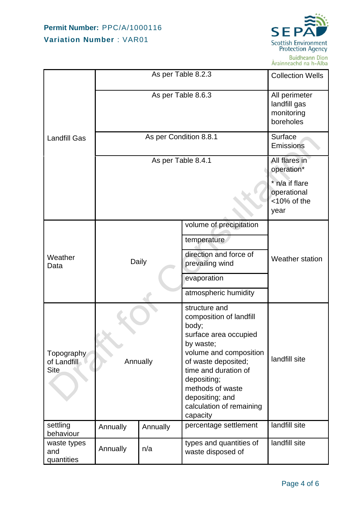

|                                          |                 | <b>Collection Wells</b>                                  |                                                                                                                                                                                                                                                                |                                                         |  |  |
|------------------------------------------|-----------------|----------------------------------------------------------|----------------------------------------------------------------------------------------------------------------------------------------------------------------------------------------------------------------------------------------------------------------|---------------------------------------------------------|--|--|
|                                          |                 | All perimeter<br>landfill gas<br>monitoring<br>boreholes |                                                                                                                                                                                                                                                                |                                                         |  |  |
| <b>Landfill Gas</b>                      |                 | Surface<br>Emissions                                     |                                                                                                                                                                                                                                                                |                                                         |  |  |
|                                          |                 | All flares in<br>operation*                              |                                                                                                                                                                                                                                                                |                                                         |  |  |
|                                          |                 |                                                          |                                                                                                                                                                                                                                                                | * n/a if flare<br>operational<br>$<$ 10% of the<br>year |  |  |
|                                          |                 |                                                          | volume of precipitation                                                                                                                                                                                                                                        |                                                         |  |  |
|                                          | Daily           |                                                          | temperature                                                                                                                                                                                                                                                    |                                                         |  |  |
| Weather<br>Data                          |                 |                                                          | direction and force of<br>prevailing wind                                                                                                                                                                                                                      | <b>Weather station</b>                                  |  |  |
|                                          |                 |                                                          | evaporation                                                                                                                                                                                                                                                    |                                                         |  |  |
|                                          |                 |                                                          | atmospheric humidity                                                                                                                                                                                                                                           |                                                         |  |  |
| Topography<br>of Landfill<br><b>Site</b> | Annually        |                                                          | structure and<br>composition of landfill<br>body;<br>surface area occupied<br>by waste;<br>volume and composition<br>of waste deposited;<br>time and duration of<br>depositing;<br>methods of waste<br>depositing; and<br>calculation of remaining<br>capacity | landfill site                                           |  |  |
| settling<br>behaviour                    | Annually        | Annually                                                 | percentage settlement                                                                                                                                                                                                                                          | landfill site                                           |  |  |
| waste types<br>and<br>quantities         | Annually<br>n/a |                                                          | types and quantities of<br>waste disposed of                                                                                                                                                                                                                   | landfill site                                           |  |  |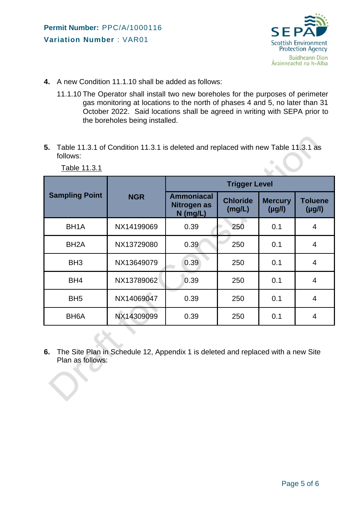

- **4.** A new Condition 11.1.10 shall be added as follows:
	- 11.1.10 The Operator shall install two new boreholes for the purposes of perimeter gas monitoring at locations to the north of phases 4 and 5, no later than 31 October 2022. Said locations shall be agreed in writing with SEPA prior to the boreholes being installed.
- **5.** Table 11.3.1 of Condition 11.3.1 is deleted and replaced with new Table 11.3.1 as follows:

|                       |            | <b>Trigger Level</b>                           |                           |                               |                               |  |
|-----------------------|------------|------------------------------------------------|---------------------------|-------------------------------|-------------------------------|--|
| <b>Sampling Point</b> | <b>NGR</b> | <b>Ammoniacal</b><br>Nitrogen as<br>$N$ (mg/L) | <b>Chloride</b><br>(mg/L) | <b>Mercury</b><br>$(\mu g/l)$ | <b>Toluene</b><br>$(\mu g/l)$ |  |
| BH <sub>1</sub> A     | NX14199069 | 0.39                                           | 250                       | 0.1                           | $\overline{4}$                |  |
| BH <sub>2</sub> A     | NX13729080 | 0.39                                           | 250                       | 0.1                           | 4                             |  |
| BH <sub>3</sub>       | NX13649079 | 0.39                                           | 250                       | 0.1                           | $\overline{4}$                |  |
| BH <sub>4</sub>       | NX13789062 | 0.39                                           | 250                       | 0.1                           | $\overline{4}$                |  |
| BH <sub>5</sub>       | NX14069047 | 0.39                                           | 250                       | 0.1                           | $\overline{4}$                |  |
| BH <sub>6</sub> A     | NX14309099 | 0.39                                           | 250                       | 0.1                           | $\overline{4}$                |  |
|                       |            |                                                |                           |                               |                               |  |

Table 11.3.1

**6.** The Site Plan in Schedule 12, Appendix 1 is deleted and replaced with a new Site Plan as follows: